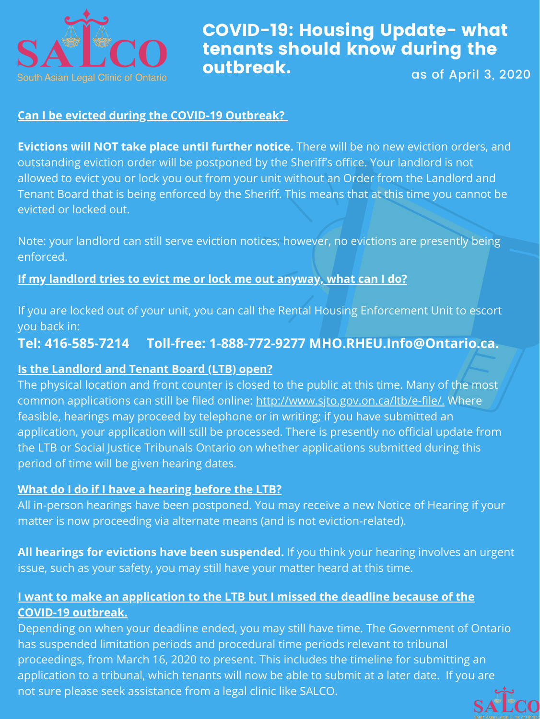

### COVID-19: Housing Update- what tenants should know during the outbreak. as of April 3, 2020

#### **Can I be evicted during the COVID-19 Outbreak?**

**Evictions will NOT take place until further notice.** There will be no new eviction orders, and outstanding eviction order will be postponed by the Sheriff's office. Your landlord is not allowed to evict you or lock you out from your unit without an Order from the Landlord and Tenant Board that is being enforced by the Sheriff. This means that at this time you cannot be evicted or locked out.

Note: your landlord can still serve eviction notices; however, no evictions are presently being enforced.

**If my landlord tries to evict me or lock me out anyway, what can I do?**

If you are locked out of your unit, you can call the Rental Housing Enforcement Unit to escort you back in: **Tel: 416-585-7214 Toll-free: 1-888-772-9277 MHO.RHEU.Info@Ontario.ca.**

**Is the Landlord and Tenant Board (LTB) open?**

The physical location and front counter is closed to the public at this time. Many of the most common applications can still be filed online: [http://www.sjto.gov.on.ca/ltb/e-file/.](http://www.sjto.gov.on.ca/ltb/e-file/) Where feasible, hearings may proceed by telephone or in writing; if you have submitted an application, your application will still be processed. There is presently no official update from the LTB or Social Justice Tribunals Ontario on whether applications submitted during this period of time will be given hearing dates.

#### **What do I do if I have a hearing before the LTB?**

All in-person hearings have been postponed. You may receive a new Notice of Hearing if your matter is now proceeding via alternate means (and is not eviction-related).

**All hearings for evictions have been suspended.** If you think your hearing involves an urgent issue, such as your safety, you may still have your matter heard at this time.

### **I want to make an application to the LTB but I missed the deadline because of the COVID-19 outbreak.**

Depending on when your deadline ended, you may still have time. The Government of Ontario has suspended limitation periods and procedural time periods relevant to tribunal proceedings, from March 16, 2020 to present. This includes the timeline for submitting an application to a tribunal, which tenants will now be able to submit at a later date. If you are not sure please seek assistance from a legal clinic like SALCO.